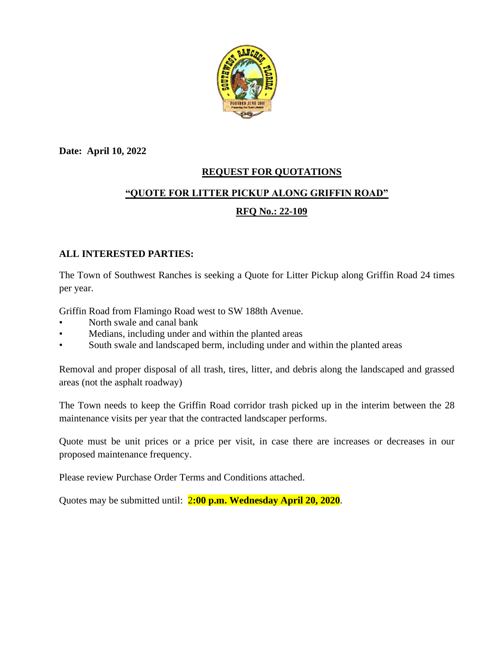

**Date: April 10, 2022**

## **REQUEST FOR QUOTATIONS**

# **"QUOTE FOR LITTER PICKUP ALONG GRIFFIN ROAD"**

## **RFQ No.: 22-109**

#### **ALL INTERESTED PARTIES:**

The Town of Southwest Ranches is seeking a Quote for Litter Pickup along Griffin Road 24 times per year.

Griffin Road from Flamingo Road west to SW 188th Avenue.

- North swale and canal bank
- Medians, including under and within the planted areas
- South swale and landscaped berm, including under and within the planted areas

Removal and proper disposal of all trash, tires, litter, and debris along the landscaped and grassed areas (not the asphalt roadway)

The Town needs to keep the Griffin Road corridor trash picked up in the interim between the 28 maintenance visits per year that the contracted landscaper performs.

Quote must be unit prices or a price per visit, in case there are increases or decreases in our proposed maintenance frequency.

Please review Purchase Order Terms and Conditions attached.

Quotes may be submitted until: 2**:00 p.m. Wednesday April 20, 2020**.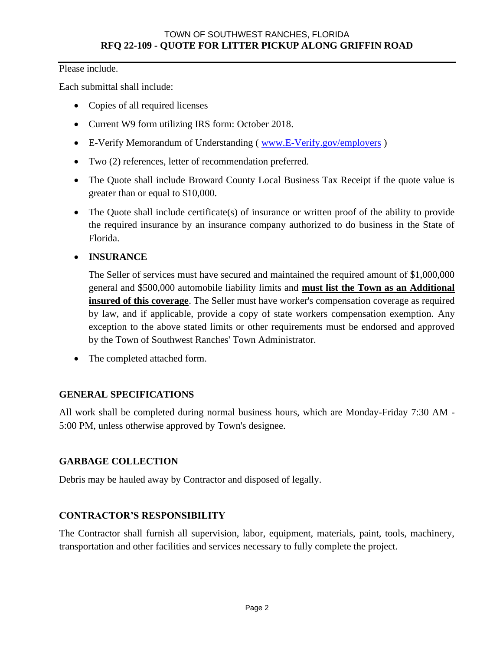Please include.

Each submittal shall include:

- Copies of all required licenses
- Current W9 form utilizing IRS form: October 2018.
- E-Verify Memorandum of Understanding (www.E-Verify.gov/employers)
- Two (2) references, letter of recommendation preferred.
- The Quote shall include Broward County Local Business Tax Receipt if the quote value is greater than or equal to \$10,000.
- The Quote shall include certificate(s) of insurance or written proof of the ability to provide the required insurance by an insurance company authorized to do business in the State of Florida.

## • **INSURANCE**

The Seller of services must have secured and maintained the required amount of \$1,000,000 general and \$500,000 automobile liability limits and **must list the Town as an Additional insured of this coverage**. The Seller must have worker's compensation coverage as required by law, and if applicable, provide a copy of state workers compensation exemption. Any exception to the above stated limits or other requirements must be endorsed and approved by the Town of Southwest Ranches' Town Administrator.

• The completed attached form.

## **GENERAL SPECIFICATIONS**

All work shall be completed during normal business hours, which are Monday-Friday 7:30 AM - 5:00 PM, unless otherwise approved by Town's designee.

## **GARBAGE COLLECTION**

Debris may be hauled away by Contractor and disposed of legally.

## **CONTRACTOR'S RESPONSIBILITY**

The Contractor shall furnish all supervision, labor, equipment, materials, paint, tools, machinery, transportation and other facilities and services necessary to fully complete the project.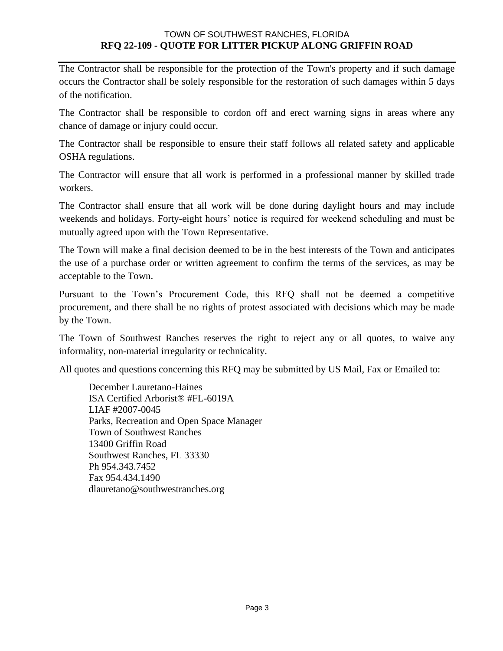#### TOWN OF SOUTHWEST RANCHES, FLORIDA **RFQ 22-109 - QUOTE FOR LITTER PICKUP ALONG GRIFFIN ROAD**

The Contractor shall be responsible for the protection of the Town's property and if such damage occurs the Contractor shall be solely responsible for the restoration of such damages within 5 days of the notification.

The Contractor shall be responsible to cordon off and erect warning signs in areas where any chance of damage or injury could occur.

The Contractor shall be responsible to ensure their staff follows all related safety and applicable OSHA regulations.

The Contractor will ensure that all work is performed in a professional manner by skilled trade workers.

The Contractor shall ensure that all work will be done during daylight hours and may include weekends and holidays. Forty-eight hours' notice is required for weekend scheduling and must be mutually agreed upon with the Town Representative.

The Town will make a final decision deemed to be in the best interests of the Town and anticipates the use of a purchase order or written agreement to confirm the terms of the services, as may be acceptable to the Town.

Pursuant to the Town's Procurement Code, this RFQ shall not be deemed a competitive procurement, and there shall be no rights of protest associated with decisions which may be made by the Town.

The Town of Southwest Ranches reserves the right to reject any or all quotes, to waive any informality, non-material irregularity or technicality.

All quotes and questions concerning this RFQ may be submitted by US Mail, Fax or Emailed to:

December Lauretano-Haines ISA Certified Arborist® #FL-6019A LIAF #2007-0045 Parks, Recreation and Open Space Manager Town of Southwest Ranches 13400 Griffin Road Southwest Ranches, FL 33330 Ph 954.343.7452 Fax 954.434.1490 dlauretano@southwestranches.org